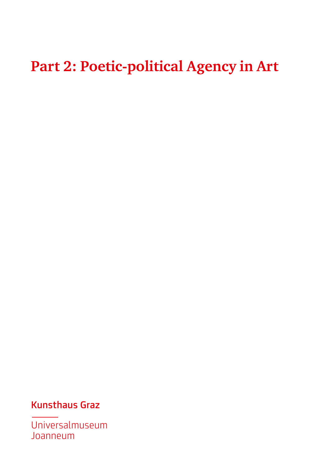### **Part 2: Poetic-political Agency in Art**

#### Kunsthaus Graz

Universalmuseum Joanneum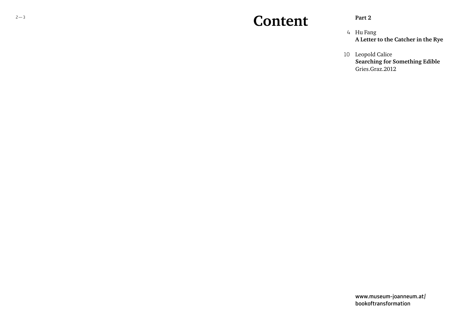### **Content**

#### **Part 2**

- 4 Hu Fang **A Letter to the Catcher in the Rye**
- 10 Leopold Calice **Searching for Something Edible** Gries.Graz.2012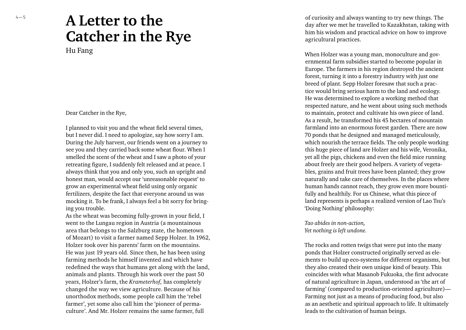# **A Letter to the Catcher in the Rye**

Hu Fang

Dear Catcher in the Rye,

I planned to visit you and the wheat field several times, but I never did. I need to apologize, say how sorry I am. During the July harvest, our friends went on a journey to see you and they carried back some wheat flour. When I smelled the scent of the wheat and I saw a photo of your retreating figure, I suddenly felt released and at peace. I always think that you and only you, such an upright and honest man, would accept our 'unreasonable request' to grow an experimental wheat field using only organic fertilizers, despite the fact that everyone around us was mocking it. To be frank, I always feel a bit sorry for bring ing you trouble.

As the wheat was becoming fully-grown in your field, I went to the Lungau region in Austria (a mountainous area that belongs to the Salzburg state, the hometown of Mozart) to visit a farmer named Sepp Holzer. In 1962, Holzer took over his parents' farm on the mountains. He was just 19 years old. Since then, he has been using farming methods he himself invented and which have redefined the ways that humans get along with the land, animals and plants. Through his work over the past 50 years, Holzer's farm, the *Krameterhof,* has completely changed the way we view agriculture. Because of his unorthodox methods, some people call him the 'rebel farmer', yet some also call him the 'pioneer of perma culture'. And Mr. Holzer remains the same farmer, full

of curiosity and always wanting to try new things. The day after we met he travelled to Kazakhstan, taking with him his wisdom and practical advice on how to improve agricultural practices.

When Holzer was a young man, monoculture and gov ernmental farm subsidies started to become popular in Europe. The farmers in his region destroyed the ancient forest, turning it into a forestry industry with just one breed of plant. Sepp Holzer foresaw that such a prac tice would bring serious harm to the land and ecology. He was determined to explore a working method that respected nature, and he went about using such methods to maintain, protect and cultivate his own piece of land. As a result, he transformed his 45 hectares of mountain farmland into an enormous forest garden. There are now 70 ponds that he designed and managed meticulously, which nourish the terrace fields. The only people working this huge piece of land are Holzer and his wife, Veronika, yet all the pigs, chickens and even the field mice running about freely are their good helpers. A variety of vegeta bles, grains and fruit trees have been planted; they grow naturally and take care of themselves. In the places where human hands cannot reach, they grow even more bounti fully and healthily. For us Chinese, what this piece of land represents is perhaps a realized version of Lao Tsu's 'Doing Nothing' philosophy:

*Tao abides in non-action, Yet nothing is left undone.*

The rocks and rotten twigs that were put into the many ponds that Holzer constructed originally served as ele ments to build up eco-systems for different organisms, but they also created their own unique kind of beauty. This coincides with what Masanob Fukuoka, the first advocate of natural agriculture in Japan, understood as 'the art of farming' (compared to production-oriented agriculture)— Farming not just as a means of producing food, but also as an aesthetic and spiritual approach to life. It ultimately leads to the cultivation of human beings.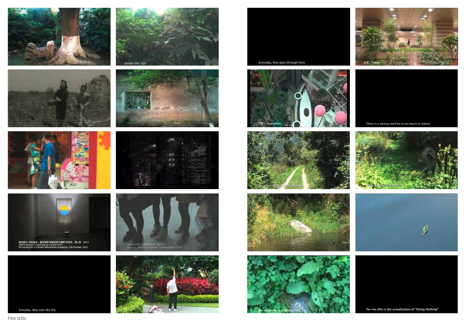







表記集社 -SIMINE - 通任専得"国産業業之業種"的商品、現心事、2012<br>Old'ar Diasson A panage to a quasi room<br>Inf waiting for A Fierraly Affectionate Sculpture), The Pauline, 2012



Everyday, they start like this.

























There is a strong need for us to return to nature.







For me, this is the actualization of "Doing Nothing"

Film stills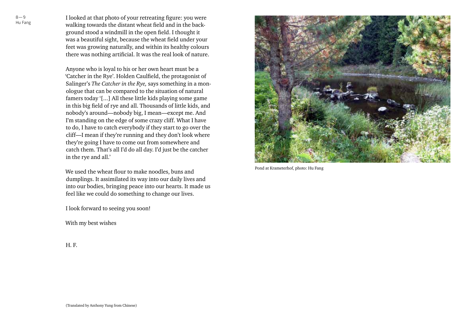I looked at that photo of your retreating figure: you were walking towards the distant wheat field and in the background stood a windmill in the open field. I thought it was a beautiful sight, because the wheat field under your feet was growing naturally, and within its healthy colours there was nothing artificial. It was the real look of nature.

Anyone who is loyal to his or her own heart must be a 'Catcher in the Rye'. Holden Caulfield, the protagonist of Salinger's *The Catcher in the Rye,* says something in a monologue that can be compared to the situation of natural famers today '[...] All these little kids playing some game in this big field of rye and all. Thousands of little kids, and nobody's around—nobody big, I mean—except me. And I'm standing on the edge of some crazy cliff. What I have to do, I have to catch everybody if they start to go over the cliff—I mean if they're running and they don't look where they're going I have to come out from somewhere and catch them. That's all I'd do all day. I'd just be the catcher in the rye and all.'

We used the wheat flour to make noodles, buns and dumplings. It assimilated its way into our daily lives and into our bodies, bringing peace into our hearts. It made us feel like we could do something to change our lives.

I look forward to seeing you soon!

With my best wishes

Pond at Krameterhof, photo: Hu Fang

H. F.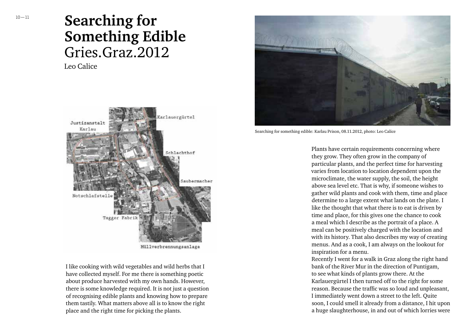## **Searching for Something Edible** Gries.Graz.2012

Leo Calice



Müllverbrennungsanlage

I like cooking with wild vegetables and wild herbs that I have collected myself. For me there is something poetic about produce harvested with my own hands. However, there is some knowledge required. It is not just a question of recognising edible plants and knowing how to prepare them tastily. What matters above all is to know the right place and the right time for picking the plants.



Searching for something edible: Karlau Prison, 08.11.2012, photo: Leo Calice

Plants have certain requirements concerning where they grow. They often grow in the company of particular plants, and the perfect time for harvesting varies from location to location dependent upon the microclimate, the water supply, the soil, the height above sea level etc. That is why, if someone wishes to gather wild plants and cook with them, time and place determine to a large extent what lands on the plate. I like the thought that what there is to eat is driven by time and place, for this gives one the chance to cook a meal which I describe as the portrait of a place. A meal can be positively charged with the location and with its history. That also describes my way of creating menus. And as a cook, I am always on the lookout for inspiration for a menu.

Recently I went for a walk in Graz along the right hand bank of the River Mur in the direction of Puntigam, to see what kinds of plants grow there. At the Karlauergürtel I then turned off to the right for some reason. Because the traffic was so loud and unpleasant, I immediately went down a street to the left. Quite soon, I could smell it already from a distance, I hit upon a huge slaughterhouse, in and out of which lorries were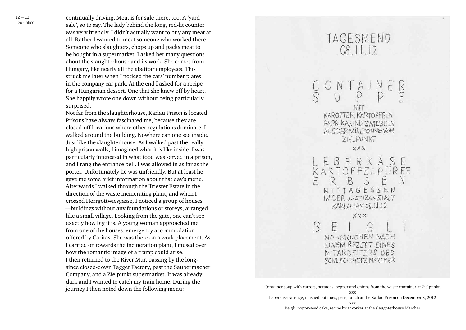$12 - 13$ Leo Calice continually driving. Meat is for sale there, too. A 'yard sale', so to say. The lady behind the long, red-lit counter was very friendly. I didn't actually want to buy any meat at all. Rather I wanted to meet someone who worked there. Someone who slaughters, chops up and packs meat to be bought in a supermarket. I asked her many questions about the slaughterhouse and its work. She comes from Hungary, like nearly all the abattoir employees. This struck me later when I noticed the cars' number plates in the company car park. At the end I asked for a recipe for a Hungarian dessert. One that she knew off by heart. She happily wrote one down without being particularly surprised.

Not far from the slaughterhouse, Karlau Prison is located. Prisons have always fascinated me, because they are closed-off locations where other regulations dominate. I walked around the building. Nowhere can one see inside. Just like the slaughterhouse. As I walked past the really high prison walls, I imagined what it is like inside. I was particularly interested in what food was served in a prison, and I rang the entrance bell. I was allowed in as far as the porter. Unfortunately he was unfriendly. But at least he gave me some brief information about that day's menu. Afterwards I walked through the Triester Estate in the direction of the waste incinerating plant, and when I crossed Herrgottwiesgasse, I noticed a group of houses —buildings without any foundations or storeys, arranged like a small village. Looking from the gate, one can't see exactly how big it is. A young woman approached me from one of the houses, emergency accommodation offered by Caritas. She was there on a work placement. As I carried on towards the incineration plant, I mused over how the romantic image of a tramp could arise. I then returned to the River Mur, passing by the longsince closed-down Tagger Factory, past the Saubermacher Company, and a Zielpunkt supermarket. It was already dark and I wanted to catch my train home. During the journey I then noted down the following menu:

TAGESMENU 08 11 12 ONTAINER  $U$   $P$   $P$   $F$ MIT **KAROTTEN, KARTOFFELN** PAPRIKANND ZWIEBELN AUC DER MULLTONNE VOM ZIELPUNKT **XXX** LEBERKÂSE<br>KARTOFFELPUREE R B S E N MITTAGESSEN IN DER JUSTIZANSIALT  $KARIAUAMOS.11.12$ XXX F  $G$ R MOHIVIKUCHEN NACH EINEM REZEPT EINES MITARBEITERS DES SCHLACHTHOFS MARCHER

Leberkäse sausage, mashed potatoes, peas, lunch at the Karlau Prison on December 8, 2012

Beigli, poppy-seed cake, recipe by a worker at the slaughterhouse Marcher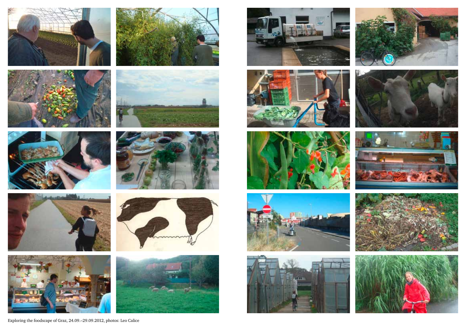